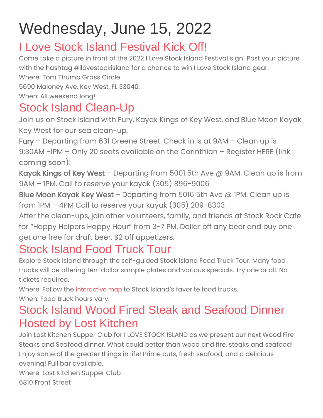# Wednesday, June 15, 2022

#### I Love Stock Island Festival Kick Off!

Come take a picture in front of the 2022 I Love Stock Island Festival sign! Post your picture with the hashtag #ilovestockisland for a chance to win I Love Stock Island gear.

Where: Tom Thumb Grass Circle 5690 Maloney Ave. Key West, FL 33040. When: All weekend long!

#### Stock Island Clean-Up

Join us on Stock Island with Fury, Kayak Kings of Key West, and Blue Moon Kayak Key West for our sea clean-up.

Fury – Departing from 631 Greene Street. Check in is at 9AM – Clean up is 9:30AM -1PM – Only 20 seats available on the Corinthian – Register HERE (link coming soon)!

Kayak Kings of Key West – Departing from 5001 5th Ave  $\omega$  9AM. Clean up is from 9AM – 1PM. Call to reserve your kayak (305) 896-9006

Blue Moon Kayak Key West – Departing from 5016 5th Ave @ IPM. Clean up is from 1PM – 4PM Call to reserve your kayak (305) 209-8303

After the clean-ups, join other volunteers, family, and friends at Stock Rock Cafe for "Happy Helpers Happy Hour" from 3-7 PM. Dollar off any beer and buy one get one free for draft beer. \$2 off appetizers.

#### Stock Island Food Truck Tour

Explore Stock Island through the self-guided Stock Island Food Truck Tour. Many food trucks will be offering ten-dollar sample plates and various specials. Try one or all. No tickets required.

Where: Follow the [interactive](https://ilovestockisland.org/stock-island-food-truck-tour-map/) map to Stock Island's favorite food trucks. When: Food truck hours vary.

#### Stock Island Wood Fired Steak and Seafood Dinner Hosted by Lost Kitchen

Join Lost Kitchen Supper Club for I LOVE STOCK ISLAND as we present our next Wood Fire Steaks and Seafood dinner. What could better than wood and fire, steaks and seafood! Enjoy some of the greater things in life! Prime cuts, fresh seafood, and a delicious evening! Full bar available.

Where: Lost Kitchen Supper Club 6810 Front Street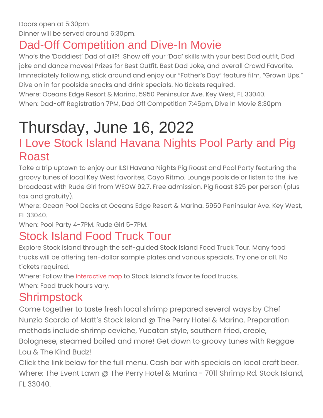#### Dad-Off Competition and Dive-In Movie

Who's the 'Daddiest' Dad of all?! Show off your 'Dad' skills with your best Dad outfit, Dad joke and dance moves! Prizes for Best Outfit, Best Dad Joke, and overall Crowd Favorite. Immediately following, stick around and enjoy our "Father's Day" feature film, "Grown Ups." Dive on in for poolside snacks and drink specials. No tickets required.

Where: Oceans Edge Resort & Marina. 5950 Peninsular Ave. Key West, FL 33040. When: Dad-off Registration 7PM, Dad Off Competition 7:45pm, Dive In Movie 8:30pm

# Thursday, June 16, 2022

#### I Love Stock Island Havana Nights Pool Party and Pig Roast

Take a trip uptown to enjoy our ILSI Havana Nights Pig Roast and Pool Party featuring the groovy tunes of local Key West favorites, Cayo Ritmo. Lounge poolside or listen to the live broadcast with Rude Girl from WEOW 92.7. Free admission, Pig Roast \$25 per person (plus tax and gratuity).

Where: Ocean Pool Decks at Oceans Edge Resort & Marina. 5950 Peninsular Ave. Key West, FL 33040.

When: Pool Party 4-7PM. Rude Girl 5-7PM.

#### Stock Island Food Truck Tour

Explore Stock Island through the self-guided Stock Island Food Truck Tour. Many food trucks will be offering ten-dollar sample plates and various specials. Try one or all. No tickets required.

Where: Follow the [interactive](https://ilovestockisland.org/stock-island-food-truck-tour-map/) map to Stock Island's favorite food trucks.

When: Food truck hours vary.

#### **Shrimpstock**

Come together to taste fresh local shrimp prepared several ways by Chef Nunzio Scordo of Matt's Stock Island @ The Perry Hotel & Marina. Preparation methods include shrimp ceviche, Yucatan style, southern fried, creole, Bolognese, steamed boiled and more! Get down to groovy tunes with Reggae Lou & The Kind Budz!

Click the link below for the full menu. Cash bar with specials on local craft beer. Where: The Event Lawn @ The Perry Hotel & Marina - 7011 Shrimp Rd. Stock Island, FL 33040.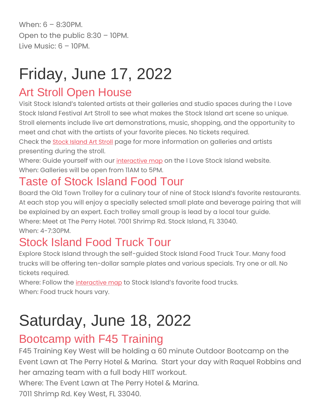When: 6 – 8:30PM. Open to the public 8:30 – 10PM. Live Music:  $6 - 10$ PM.

# Friday, June 17, 2022

#### Art Stroll Open House

Visit Stock Island's talented artists at their galleries and studio spaces during the I Love Stock Island Festival Art Stroll to see what makes the Stock Island art scene so unique. Stroll elements include live art demonstrations, music, shopping, and the opportunity to meet and chat with the artists of your favorite pieces. No tickets required. Check the Stock [Island](https://ilovestockisland.org/stock-island-art-stroll/) Art Stroll page for more information on galleries and artists presenting during the stroll.

Where: Guide yourself with our [interactive](https://ilovestockisland.org/art-stroll-map/) map on the I Love Stock Island website. When: Galleries will be open from 11AM to 5PM.

### Taste of Stock Island Food Tour

Board the Old Town Trolley for a culinary tour of nine of Stock Island's favorite restaurants. At each stop you will enjoy a specially selected small plate and beverage pairing that will be explained by an expert. Each trolley small group is lead by a local tour guide. Where: Meet at The Perry Hotel. 7001 Shrimp Rd. Stock Island, FL 33040. When: 4-7:30PM.

### Stock Island Food Truck Tour

Explore Stock Island through the self-guided Stock Island Food Truck Tour. Many food trucks will be offering ten-dollar sample plates and various specials. Try one or all. No tickets required.

Where: Follow the [interactive](https://ilovestockisland.org/stock-island-food-truck-tour-map/) map to Stock Island's favorite food trucks.

When: Food truck hours vary.

# Saturday, June 18, 2022

#### Bootcamp with F45 Training

F45 Training Key West will be holding a 60 minute Outdoor Bootcamp on the Event Lawn at The Perry Hotel & Marina. Start your day with Raquel Robbins and her amazing team with a full body HIIT workout.

Where: The Event Lawn at The Perry Hotel & Marina.

7011 Shrimp Rd. Key West, FL 33040.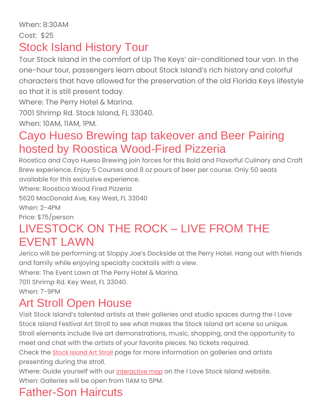#### Stock Island History Tour

Tour Stock Island in the comfort of Up The Keys' air-conditioned tour van. In the one-hour tour, passengers learn about Stock Island's rich history and colorful characters that have allowed for the preservation of the old Florida Keys lifestyle so that it is still present today.

Where: The Perry Hotel & Marina.

7001 Shrimp Rd. Stock Island, FL 33040.

When: 10AM, 11AM, 1PM.

#### Cayo Hueso Brewing tap takeover and Beer Pairing hosted by Roostica Wood-Fired Pizzeria

Roostica and Cayo Hueso Brewing join forces for this Bold and Flavorful Culinary and Craft Brew experience. Enjoy 5 Courses and 8 oz pours of beer per course. Only 50 seats available for this exclusive experience.

Where: Roostica Wood Fired Pizzeria

5620 MacDonald Ave, Key West, FL 33040

When: 2-4PM

Price: \$75/person

#### LIVESTOCK ON THE ROCK – LIVE FROM THE EVENT LAWN

Jerico will be performing at Sloppy Joe's Dockside at the Perry Hotel. Hang out with friends and family while enjoying specialty cocktails with a view.

Where: The Event Lawn at The Perry Hotel & Marina.

7011 Shrimp Rd. Key West, FL 33040.

When: 7-9PM

#### Art Stroll Open House

Visit Stock Island's talented artists at their galleries and studio spaces during the I Love Stock Island Festival Art Stroll to see what makes the Stock Island art scene so unique. Stroll elements include live art demonstrations, music, shopping, and the opportunity to meet and chat with the artists of your favorite pieces. No tickets required. Check the Stock [Island](https://ilovestockisland.org/stock-island-art-stroll/) Art Stroll page for more information on galleries and artists

presenting during the stroll.

Where: Guide yourself with our [interactive](https://ilovestockisland.org/art-stroll-map/) map on the I Love Stock Island website. When: Galleries will be open from 11AM to 5PM.

# Father-Son Haircuts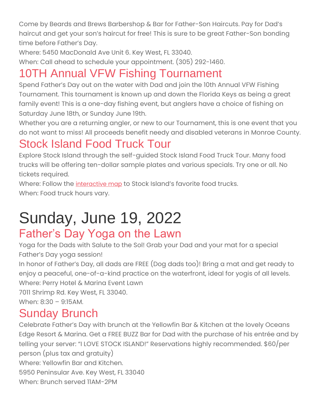Come by Beards and Brews Barbershop & Bar for Father-Son Haircuts. Pay for Dad's haircut and get your son's haircut for free! This is sure to be great Father-Son bonding time before Father's Day.

Where: 5450 MacDonald Ave Unit 6. Key West, FL 33040.

When: Call ahead to schedule your appointment. (305) 292-1460.

#### 10TH Annual VFW Fishing Tournament

Spend Father's Day out on the water with Dad and join the 10th Annual VFW Fishing Tournament. This tournament is known up and down the Florida Keys as being a great family event! This is a one-day fishing event, but anglers have a choice of fishing on Saturday June 18th, or Sunday June 19th.

Whether you are a returning angler, or new to our Tournament, this is one event that you do not want to miss! All proceeds benefit needy and disabled veterans in Monroe County.

#### Stock Island Food Truck Tour

Explore Stock Island through the self-guided Stock Island Food Truck Tour. Many food trucks will be offering ten-dollar sample plates and various specials. Try one or all. No tickets required.

Where: Follow the *[interactive](https://ilovestockisland.org/stock-island-food-truck-tour-map/) map* to Stock Island's favorite food trucks. When: Food truck hours vary.

### Sunday, June 19, 2022 Father's Day Yoga on the Lawn

Yoga for the Dads with Salute to the Sol! Grab your Dad and your mat for a special Father's Day yoga session!

In honor of Father's Day, all dads are FREE (Dog dads too)! Bring a mat and get ready to enjoy a peaceful, one-of-a-kind practice on the waterfront, ideal for yogis of all levels. Where: Perry Hotel & Marina Event Lawn

7011 Shrimp Rd. Key West, FL 33040. When: 8:30 – 9:15AM.

#### Sunday Brunch

Celebrate Father's Day with brunch at the Yellowfin Bar & Kitchen at the lovely Oceans Edge Resort & Marina. Get a FREE BUZZ Bar for Dad with the purchase of his entrée and by telling your server: "I LOVE STOCK ISLAND!" Reservations highly recommended. \$60/per person (plus tax and gratuity)

Where: Yellowfin Bar and Kitchen.

5950 Peninsular Ave. Key West, FL 33040

When: Brunch served 11AM-2PM